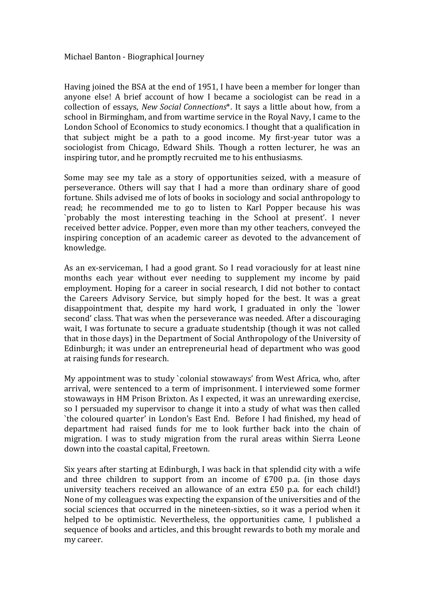Having joined the BSA at the end of 1951, I have been a member for longer than anyone else! A brief account of how I became a sociologist can be read in a collection of essays, *New Social Connections*\*. It says a little about how, from a school in Birmingham, and from wartime service in the Royal Navy, I came to the London School of Economics to study economics. I thought that a qualification in that subject might be a path to a good income. My first‐year tutor was a sociologist from Chicago, Edward Shils. Though a rotten lecturer, he was an inspiring tutor, and he promptly recruited me to his enthusiasms.

Some may see my tale as a story of opportunities seized, with a measure of perseverance. Others will say that I had a more than ordinary share of good fortune. Shils advised me of lots of books in sociology and social anthropology to read; he recommended me to go to listen to Karl Popper because his was `probably the most interesting teaching in the School at present'. I never received better advice. Popper, even more than my other teachers, conveyed the inspiring conception of an academic career as devoted to the advancement of knowledge.

As an ex-serviceman, I had a good grant. So I read voraciously for at least nine months each year without ever needing to supplement my income by paid employment. Hoping for a career in social research, I did not bother to contact the Careers Advisory Service, but simply hoped for the best. It was a great disappointment that, despite my hard work, I graduated in only the `lower second' class. That was when the perseverance was needed. After a discouraging wait, I was fortunate to secure a graduate studentship (though it was not called that in those days) in the Department of Social Anthropology of the University of Edinburgh; it was under an entrepreneurial head of department who was good at raising funds for research.

My appointment was to study `colonial stowaways' from West Africa, who, after arrival, were sentenced to a term of imprisonment. I interviewed some former stowaways in HM Prison Brixton. As I expected, it was an unrewarding exercise, so I persuaded my supervisor to change it into a study of what was then called `the coloured quarter' in London's East End. Before I had finished, my head of department had raised funds for me to look further back into the chain of migration. I was to study migration from the rural areas within Sierra Leone down into the coastal capital, Freetown.

Six years after starting at Edinburgh, I was back in that splendid city with a wife and three children to support from an income of £700 p.a. (in those days university teachers received an allowance of an extra £50 p.a. for each child!) None of my colleagues was expecting the expansion of the universities and of the social sciences that occurred in the nineteen‐sixties, so it was a period when it helped to be optimistic. Nevertheless, the opportunities came, I published a sequence of books and articles, and this brought rewards to both my morale and my career.